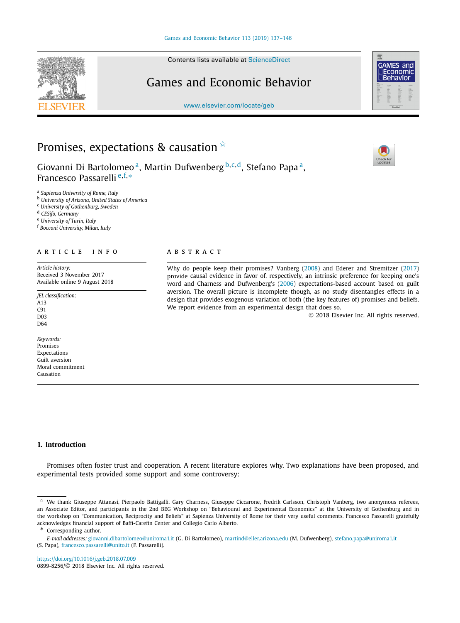Contents lists available at [ScienceDirect](http://www.ScienceDirect.com/)

# Games and Economic Behavior

[www.elsevier.com/locate/geb](http://www.elsevier.com/locate/geb)

# Promises, expectations & causation  $\overline{A}$

Giovanni Di Bartolomeo<sup>a</sup>, Martin Dufwenberg b,c,d, Stefano Papa<sup>a</sup>, Francesco Passarelli <sup>e</sup>*,*f*,*<sup>∗</sup>

<sup>a</sup> *Sapienza University of Rome, Italy*

<sup>b</sup> *University of Arizona, United States of America*

<sup>c</sup> *University of Gothenburg, Sweden*

<sup>d</sup> *CESifo, Germany*

<sup>e</sup> *University of Turin, Italy*

<sup>f</sup> *Bocconi University, Milan, Italy*

#### A R T I C L E I N F O A B S T R A C T

*Article history:* Received 3 November 2017 Available online 9 August 2018

*JEL classification:*

A13 C91 D03 D64

*Keywords:* Promises Expectations Guilt aversion Moral commitment Causation

Why do people keep their promises? Vanberg [\(2008\)](#page-9-0) and Ederer and Stremitzer [\(2017\)](#page-9-0) provide causal evidence in favor of, respectively, an intrinsic preference for keeping one's word and Charness and Dufwenberg's [\(2006\)](#page-9-0) expectations-based account based on guilt aversion. The overall picture is incomplete though, as no study disentangles effects in a design that provides exogenous variation of both (the key features of) promises and beliefs. We report evidence from an experimental design that does so.

© 2018 Elsevier Inc. All rights reserved.

## **1. Introduction**

Promises often foster trust and cooperation. A recent literature explores why. Two explanations have been proposed, and experimental tests provided some support and some controversy:

(S. Papa), [francesco.passarelli@unito.it](mailto:francesco.passarelli@unito.it) (F. Passarelli).

<https://doi.org/10.1016/j.geb.2018.07.009> 0899-8256/© 2018 Elsevier Inc. All rights reserved.







<sup>✩</sup> We thank Giuseppe Attanasi, Pierpaolo Battigalli, Gary Charness, Giuseppe Ciccarone, Fredrik Carlsson, Christoph Vanberg, two anonymous referees, an Associate Editor, and participants in the 2nd BEG Workshop on "Behavioural and Experimental Economics" at the University of Gothenburg and in the workshop on "Communication, Reciprocity and Beliefs" at Sapienza University of Rome for their very useful comments. Francesco Passarelli gratefully acknowledges financial support of Baffi-Carefin Center and Collegio Carlo Alberto.

Corresponding author.

*E-mail addresses:* [giovanni.dibartolomeo@uniroma1.it](mailto:giovanni.dibartolomeo@uniroma1.it) (G. Di Bartolomeo), [martind@eller.arizona.edu](mailto:martind@eller.arizona.edu) (M. Dufwenberg), [stefano.papa@uniroma1.it](mailto:stefano.papa@uniroma1.it)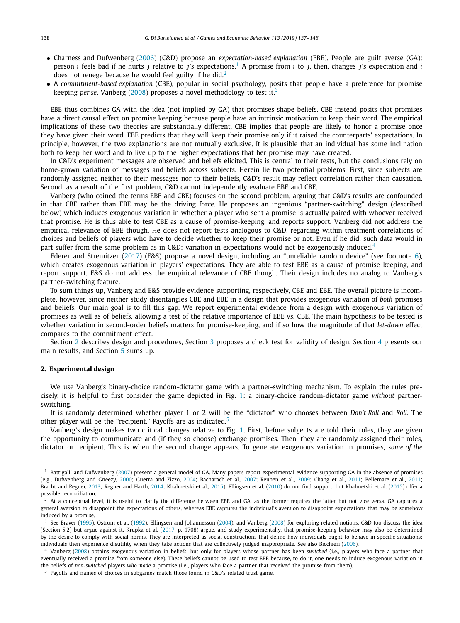- <span id="page-1-0"></span>• Charness and Dufwenberg [\(2006\)](#page-9-0) (C&D) propose an *expectation-based explanation* (EBE). People are guilt averse (GA): person *i* feels bad if he hurts *j* relative to *j*'s expectations.<sup>1</sup> A promise from *i* to *j*, then, changes *j*'s expectation and *i* does not renege because he would feel guilty if he did.<sup>2</sup>
- A *commitment-based explanation* (CBE), popular in social psychology, posits that people have a preference for promise keeping *per se*. Vanberg [\(2008\)](#page-9-0) proposes a novel methodology to test it.<sup>3</sup>

EBE thus combines GA with the idea (not implied by GA) that promises shape beliefs. CBE instead posits that promises have a direct causal effect on promise keeping because people have an intrinsic motivation to keep their word. The empirical implications of these two theories are substantially different. CBE implies that people are likely to honor a promise once they have given their word. EBE predicts that they will keep their promise only if it raised the counterparts' expectations. In principle, however, the two explanations are not mutually exclusive. It is plausible that an individual has some inclination both to keep her word and to live up to the higher expectations that her promise may have created.

In C&D's experiment messages are observed and beliefs elicited. This is central to their tests, but the conclusions rely on home-grown variation of messages and beliefs across subjects. Herein lie two potential problems. First, since subjects are randomly assigned neither to their messages nor to their beliefs, C&D's result may reflect correlation rather than causation. Second, as a result of the first problem, C&D cannot independently evaluate EBE and CBE.

Vanberg (who coined the terms EBE and CBE) focuses on the second problem, arguing that C&D's results are confounded in that CBE rather than EBE may be the driving force. He proposes an ingenious "partner-switching" design (described below) which induces exogenous variation in whether a player who sent a promise is actually paired with whoever received that promise. He is thus able to test CBE as a cause of promise-keeping, and reports support. Vanberg did not address the empirical relevance of EBE though. He does not report tests analogous to C&D, regarding within-treatment correlations of choices and beliefs of players who have to decide whether to keep their promise or not. Even if he did, such data would in part suffer from the same problem as in C&D: variation in expectations would not be exogenously induced.<sup>4</sup>

Ederer and Stremitzer [\(2017\)](#page-9-0) (E&S) propose a novel design, including an "unreliable random device" (see footnote [6\)](#page-2-0), which creates exogenous variation in players' expectations. They are able to test EBE as a cause of promise keeping, and report support. E&S do not address the empirical relevance of CBE though. Their design includes no analog to Vanberg's partner-switching feature.

To sum things up, Vanberg and E&S provide evidence supporting, respectively, CBE and EBE. The overall picture is incomplete, however, since neither study disentangles CBE and EBE in a design that provides exogenous variation of *both* promises and beliefs. Our main goal is to fill this gap. We report experimental evidence from a design with exogenous variation of promises as well as of beliefs, allowing a test of the relative importance of EBE vs. CBE. The main hypothesis to be tested is whether variation in second-order beliefs matters for promise-keeping, and if so how the magnitude of that *let-down* effect compares to the commitment effect.

Section 2 describes design and procedures, Section [3](#page-4-0) proposes a check test for validity of design, Section [4](#page-4-0) presents our main results, and Section [5](#page-6-0) sums up.

#### **2. Experimental design**

We use Vanberg's binary-choice random-dictator game with a partner-switching mechanism. To explain the rules precisely, it is helpful to first consider the game depicted in Fig. [1:](#page-2-0) a binary-choice random-dictator game *without* partnerswitching.

It is randomly determined whether player 1 or 2 will be the "dictator" who chooses between *Don't Roll* and *Roll*. The other player will be the "recipient." Payoffs are as indicated.<sup>5</sup>

Vanberg's design makes two critical changes relative to Fig. [1.](#page-2-0) First, before subjects are told their roles, they are given the opportunity to communicate and (if they so choose) exchange promises. Then, they are randomly assigned their roles, dictator or recipient. This is when the second change appears. To generate exogenous variation in promises, *some of the*

<sup>1</sup> Battigalli and Dufwenberg [\(2007\)](#page-9-0) present a general model of GA. Many papers report experimental evidence supporting GA in the absence of promises (e.g., Dufwenberg and Gneezy, [2000;](#page-9-0) Guerra and Zizzo, [2004;](#page-9-0) Bacharach et al., [2007;](#page-9-0) Reuben et al., [2009;](#page-9-0) Chang et al., [2011;](#page-9-0) Bellemare et al., [2011;](#page-9-0) Bracht and Regner, [2013;](#page-9-0) Regner and Harth, [2014;](#page-9-0) Khalmetski et al., [2015\)](#page-9-0). Ellingsen et al. [\(2010\)](#page-9-0) do not find support, but Khalmetski et al. [\(2015\)](#page-9-0) offer a possible reconciliation.

 $<sup>2</sup>$  At a conceptual level, it is useful to clarify the difference between EBE and GA, as the former requires the latter but not vice versa. GA captures a</sup> general aversion to disappoint the expectations of others, whereas EBE captures the individual's aversion to disappoint expectations that may be somehow induced by a promise.

See Braver [\(1995\)](#page-9-0), Ostrom et al. [\(1992\)](#page-9-0), Ellingsen and Johannesson [\(2004\)](#page-9-0), and Vanberg [\(2008\)](#page-9-0) for exploring related notions. C&D too discuss the idea (Section 5.2) but argue against it. Krupka et al. [\(2017,](#page-9-0) p. 1708) argue, and study experimentally, that promise-keeping behavior may also be determined by the desire to comply with social norms. They are interpreted as social constructions that define how individuals ought to behave in specific situations: individuals then experience disutility when they take actions that are collectively judged inappropriate. See also Bicchieri [\(2006\)](#page-9-0).

<sup>4</sup> Vanberg [\(2008\)](#page-9-0) obtains exogenous variation in beliefs, but only for players whose partner has been *switched* (i.e., players who face a partner that eventually received a promise from someone else). These beliefs cannot be used to test EBE because, to do it, one needs to induce exogenous variation in the beliefs of *non-switched* players *who made* a promise (i.e., players who face a partner that received the promise from them).

<sup>5</sup> Payoffs and names of choices in subgames match those found in C&D's related trust game.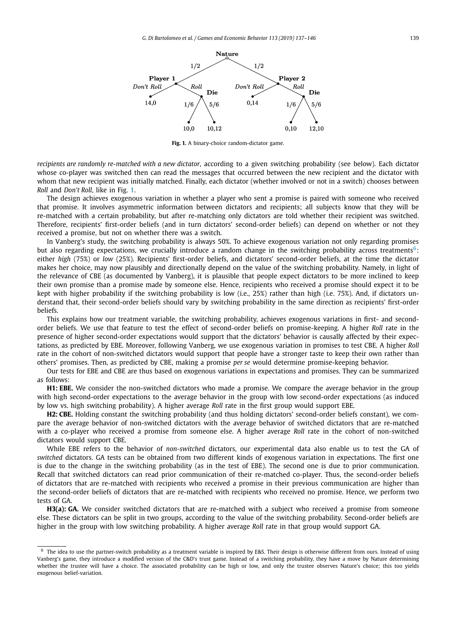<span id="page-2-0"></span>

**Fig. 1.** A binary-choice random-dictator game.

*recipients are randomly re-matched with a new dictator*, according to a given switching probability (see below). Each dictator whose co-player was switched then can read the messages that occurred between the new recipient and the dictator with whom that new recipient was initially matched. Finally, each dictator (whether involved or not in a switch) chooses between *Roll* and *Don't Roll*, like in Fig. 1.

The design achieves exogenous variation in whether a player who sent a promise is paired with someone who received that promise. It involves asymmetric information between dictators and recipients; all subjects know that they will be re-matched with a certain probability, but after re-matching only dictators are told whether their recipient was switched. Therefore, recipients' first-order beliefs (and in turn dictators' second-order beliefs) can depend on whether or not they received a promise, but not on whether there was a switch.

In Vanberg's study, the switching probability is always 50%. To achieve exogenous variation not only regarding promises but also regarding expectations, we crucially introduce a random change in the switching probability across treatments<sup>6</sup>: either *high* (75%) or *low* (25%). Recipients' first-order beliefs, and dictators' second-order beliefs, at the time the dictator makes her choice, may now plausibly and directionally depend on the value of the switching probability. Namely, in light of the relevance of CBE (as documented by Vanberg), it is plausible that people expect dictators to be more inclined to keep their own promise than a promise made by someone else. Hence, recipients who received a promise should expect it to be kept with higher probability if the switching probability is low (i.e., 25%) rather than high (i.e. 75%). And, if dictators understand that, their second-order beliefs should vary by switching probability in the same direction as recipients' first-order beliefs.

This explains how our treatment variable, the switching probability, achieves exogenous variations in first- and secondorder beliefs. We use that feature to test the effect of second-order beliefs on promise-keeping. A higher *Roll* rate in the presence of higher second-order expectations would support that the dictators' behavior is causally affected by their expectations, as predicted by EBE. Moreover, following Vanberg, we use exogenous variation in promises to test CBE. A higher *Roll* rate in the cohort of non-switched dictators would support that people have a stronger taste to keep their own rather than others' promises. Then, as predicted by CBE, making a promise *per se* would determine promise-keeping behavior.

Our tests for EBE and CBE are thus based on exogenous variations in expectations and promises. They can be summarized as follows:

**H1: EBE.** We consider the non-switched dictators who made a promise. We compare the average behavior in the group with high second-order expectations to the average behavior in the group with low second-order expectations (as induced by low vs. high switching probability). A higher average *Roll* rate in the first group would support EBE.

**H2: CBE.** Holding constant the switching probability (and thus holding dictators' second-order beliefs constant), we compare the average behavior of non-switched dictators with the average behavior of switched dictators that are re-matched with a co-player who received a promise from someone else. A higher average *Roll* rate in the cohort of non-switched dictators would support CBE.

While EBE refers to the behavior of *non-switched* dictators, our experimental data also enable us to test the GA of *switched* dictators. GA tests can be obtained from two different kinds of exogenous variation in expectations. The first one is due to the change in the switching probability (as in the test of EBE). The second one is due to prior communication. Recall that switched dictators can read prior communication of their re-matched co-player. Thus, the second-order beliefs of dictators that are re-matched with recipients who received a promise in their previous communication are higher than the second-order beliefs of dictators that are re-matched with recipients who received no promise. Hence, we perform two tests of GA.

**H3(a): GA.** We consider switched dictators that are re-matched with a subject who received a promise from someone else. These dictators can be split in two groups, according to the value of the switching probability. Second-order beliefs are higher in the group with low switching probability. A higher average *Roll* rate in that group would support GA.

 $6$  The idea to use the partner-switch probability as a treatment variable is inspired by E&S. Their design is otherwise different from ours. Instead of using Vanberg's game, they introduce a modified version of the C&D's trust game. Instead of a switching probability, they have a move by Nature determining whether the trustee will have a choice. The associated probability can be high or low, and only the trustee observes Nature's choice; this too yields exogenous belief-variation.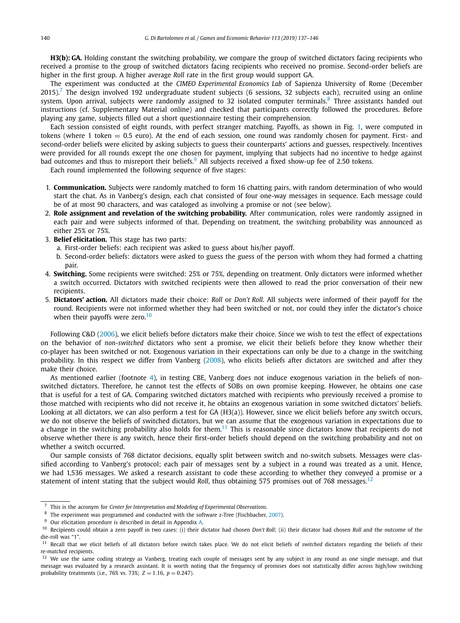**H3(b): GA.** Holding constant the switching probability, we compare the group of switched dictators facing recipients who received a promise to the group of switched dictators facing recipients who received no promise. Second-order beliefs are higher in the first group. A higher average *Roll* rate in the first group would support GA.

The experiment was conducted at the *CIMEO Experimental Economics Lab* of Sapienza University of Rome (December  $2015$ ).<sup>7</sup> The design involved 192 undergraduate student subjects (6 sessions, 32 subjects each), recruited using an online system. Upon arrival, subjects were randomly assigned to 32 isolated computer terminals.<sup>8</sup> Three assistants handed out instructions (cf. Supplementary Material online) and checked that participants correctly followed the procedures. Before playing any game, subjects filled out a short questionnaire testing their comprehension.

Each session consisted of eight rounds, with perfect stranger matching. Payoffs, as shown in Fig. [1,](#page-2-0) were computed in tokens (where 1 token  $= 0.5$  euro). At the end of each session, one round was randomly chosen for payment. First- and second-order beliefs were elicited by asking subjects to guess their counterparts' actions and guesses, respectively. Incentives were provided for all rounds except the one chosen for payment, implying that subjects had no incentive to hedge against bad outcomes and thus to misreport their beliefs.<sup>9</sup> All subjects received a fixed show-up fee of 2.50 tokens.

Each round implemented the following sequence of five stages:

- 1. **Communication.** Subjects were randomly matched to form 16 chatting pairs, with random determination of who would start the chat. As in Vanberg's design, each chat consisted of four one-way messages in sequence. Each message could be of at most 90 characters, and was cataloged as involving a promise or not (see below).
- 2. **Role assignment and revelation of the switching probability.** After communication, roles were randomly assigned in each pair and were subjects informed of that. Depending on treatment, the switching probability was announced as either 25% or 75%.
- 3. **Belief elicitation.** This stage has two parts:
	- a. First-order beliefs: each recipient was asked to guess about his/her payoff.
	- b. Second-order beliefs: dictators were asked to guess the guess of the person with whom they had formed a chatting pair.
- 4. **Switching.** Some recipients were switched: 25% or 75%, depending on treatment. Only dictators were informed whether a switch occurred. Dictators with switched recipients were then allowed to read the prior conversation of their new recipients.
- 5. **Dictators' action.** All dictators made their choice: *Roll* or *Don't Roll*. All subjects were informed of their payoff for the round. Recipients were not informed whether they had been switched or not, nor could they infer the dictator's choice when their payoffs were zero.<sup>10</sup>

Following C&D [\(2006\)](#page-9-0), we elicit beliefs before dictators make their choice. Since we wish to test the effect of expectations on the behavior of *non-switched* dictators who sent a promise, we elicit their beliefs before they know whether their co-player has been switched or not. Exogenous variation in their expectations can only be due to a change in the switching probability. In this respect we differ from Vanberg [\(2008\)](#page-9-0), who elicits beliefs after dictators are switched and after they make their choice.

As mentioned earlier (footnote [4\)](#page-1-0), in testing CBE, Vanberg does not induce exogenous variation in the beliefs of nonswitched dictators. Therefore, he cannot test the effects of SOBs on own promise keeping. However, he obtains one case that is useful for a test of GA. Comparing switched dictators matched with recipients who previously received a promise to those matched with recipients who did not receive it, he obtains an exogenous variation in some switched dictators' beliefs. Looking at all dictators, we can also perform a test for GA (H3(a)). However, since we elicit beliefs before any switch occurs, we do not observe the beliefs of switched dictators, but we can assume that the exogenous variation in expectations due to a change in the switching probability also holds for them.<sup>11</sup> This is reasonable since dictators know that recipients do not observe whether there is any switch, hence their first-order beliefs should depend on the switching probability and not on whether a switch occurred.

Our sample consists of 768 dictator decisions, equally split between switch and no-switch subsets. Messages were classified according to Vanberg's protocol; each pair of messages sent by a subject in a round was treated as a unit. Hence, we had 1,536 messages. We asked a research assistant to code these according to whether they conveyed a promise or a statement of intent stating that the subject would *Roll*, thus obtaining 575 promises out of 768 messages.<sup>12</sup>

<sup>7</sup> This is the acronym for *Center for Interpretation and Modeling of Experimental Observations*.

<sup>&</sup>lt;sup>8</sup> The experiment was programmed and conducted with the software z-Tree (Fischbacher, [2007\)](#page-9-0).

<sup>&</sup>lt;sup>9</sup> Our elicitation procedure is described in detail in Appendix [A.](#page-7-0)

<sup>10</sup> Recipients could obtain a zero payoff in two cases: (i) their dictator had chosen *Don't Roll*; (ii) their dictator had chosen *Roll* and the outcome of the die-roll was "1".

<sup>&</sup>lt;sup>11</sup> Recall that we elicit beliefs of all dictators before switch takes place. We do not elicit beliefs of *switched* dictators regarding the beliefs of their *re-matched* recipients.

<sup>&</sup>lt;sup>12</sup> We use the same coding strategy as Vanberg, treating each couple of messages sent by any subject in any round as one single message, and that message was evaluated by a research assistant. It is worth noting that the frequency of promises does not statistically differ across high/low switching probability treatments (i.e., 76% vs. 73%; *Z* = 1*.*16, *p* = 0*.*247).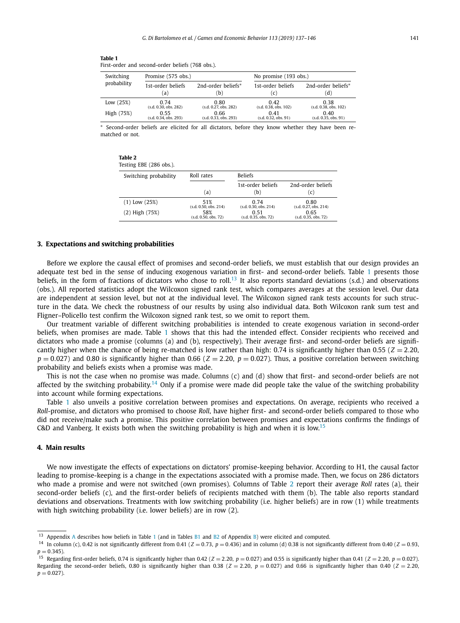<span id="page-4-0"></span>

| Table 1                                          |  |  |  |
|--------------------------------------------------|--|--|--|
| First-order and second-order beliefs (768 obs.). |  |  |  |

| Switching   | Promise (575 obs.)    |                       | No promise (193 obs.) |                       |
|-------------|-----------------------|-----------------------|-----------------------|-----------------------|
| probability | 1st-order beliefs     | 2nd-order beliefs*    | 1st-order beliefs     | 2nd-order beliefs*    |
|             | a)                    | b.                    | (C)                   | (d)                   |
| Low $(25%)$ | 0.74                  | 0.80                  | 0.42                  | 0.38                  |
|             | (s.d. 0.30, obs. 282) | (s.d. 0.27, obs. 282) | (s.d. 0.38, obs. 102) | (s.d. 0.38, obs. 102) |
| High (75%)  | 0.55                  | 0.66                  | 0.41                  | 0.40                  |
|             | (s.d. 0.34, obs. 293) | (s.d. 0.33, obs. 293) | (s.d. 0.32, obs. 91)  | (s.d. 0.35, obs. 91)  |

Second-order beliefs are elicited for all dictators, before they know whether they have been rematched or not.

| Table 2                |  |  |
|------------------------|--|--|
| Testing EBE (286 obs.) |  |  |

| 1000                  |                                 |                                  |                               |  |  |  |
|-----------------------|---------------------------------|----------------------------------|-------------------------------|--|--|--|
| Switching probability | Roll rates                      | <b>Beliefs</b>                   |                               |  |  |  |
|                       |                                 | 1st-order beliefs                | 2nd-order beliefs             |  |  |  |
|                       | a)                              | (b)                              | (C)                           |  |  |  |
| $(1)$ Low $(25%)$     | 51%<br>(s.d. 0.50, obs. 214)    | 0 74<br>(s.d. 0.30, obs. 214)    | 0.80<br>(s.d. 0.27, obs. 214) |  |  |  |
| $(2)$ High $(75%)$    | 58%<br>$(s.d. 0.50.$ obs. $72)$ | 0.51<br>$(s.d. 0.35.$ obs. $72)$ | 0.65<br>(s.d. 0.35, obs. 72)  |  |  |  |

#### **3. Expectations and switching probabilities**

Before we explore the causal effect of promises and second-order beliefs, we must establish that our design provides an adequate test bed in the sense of inducing exogenous variation in first- and second-order beliefs. Table 1 presents those beliefs, in the form of fractions of dictators who chose to roll.<sup>13</sup> It also reports standard deviations (s.d.) and observations (obs.). All reported statistics adopt the Wilcoxon signed rank test, which compares averages at the session level. Our data are independent at session level, but not at the individual level. The Wilcoxon signed rank tests accounts for such structure in the data. We check the robustness of our results by using also individual data. Both Wilcoxon rank sum test and Fligner–Policello test confirm the Wilcoxon signed rank test, so we omit to report them.

Our treatment variable of different switching probabilities is intended to create exogenous variation in second-order beliefs, when promises are made. Table 1 shows that this had the intended effect. Consider recipients who received and dictators who made a promise (columns (a) and (b), respectively). Their average first- and second-order beliefs are significantly higher when the chance of being re-matched is low rather than high:  $0.74$  is significantly higher than  $0.55$  ( $Z = 2.20$ ,  $p = 0.027$  and 0.80 is significantly higher than 0.66 ( $Z = 2.20$ ,  $p = 0.027$ ). Thus, a positive correlation between switching probability and beliefs exists when a promise was made.

This is not the case when no promise was made. Columns (c) and (d) show that first- and second-order beliefs are not affected by the switching probability.<sup>14</sup> Only if a promise were made did people take the value of the switching probability into account while forming expectations.

Table 1 also unveils a positive correlation between promises and expectations. On average, recipients who received a *Roll*-promise, and dictators who promised to choose *Roll*, have higher first- and second-order beliefs compared to those who did not receive/make such a promise. This positive correlation between promises and expectations confirms the findings of C&D and Vanberg. It exists both when the switching probability is high and when it is low.<sup>15</sup>

### **4. Main results**

We now investigate the effects of expectations on dictators' promise-keeping behavior. According to H1, the causal factor leading to promise-keeping is a change in the expectations associated with a promise made. Then, we focus on 286 dictators who made a promise and were not switched (own promises). Columns of Table 2 report their average *Roll* rates (a), their second-order beliefs (c), and the first-order beliefs of recipients matched with them (b). The table also reports standard deviations and observations. Treatments with low switching probability (i.e. higher beliefs) are in row (1) while treatments with high switching probability (i.e. lower beliefs) are in row (2).

<sup>&</sup>lt;sup>13</sup> [A](#page-7-0)ppendix A describes how beliefs in Table 1 (and in Tables  $B1$  and  $B2$  of Appendix [B\)](#page-7-0) were elicited and computed.

<sup>&</sup>lt;sup>14</sup> In column (c), 0.42 is not significantly different from 0.41 ( $Z = 0.73$ ,  $p = 0.436$ ) and in column (d) 0.38 is not significantly different from 0.40 ( $Z = 0.93$ ,  $p = 0.345$ ).

<sup>&</sup>lt;sup>15</sup> Regarding first-order beliefs, 0.74 is significantly higher than 0.42 ( $Z = 2.20$ ,  $p = 0.027$ ) and 0.55 is significantly higher than 0.41 ( $Z = 2.20$ ,  $p = 0.027$ ). Regarding the second-order beliefs, 0.80 is significantly higher than 0.38 ( $Z = 2.20$ ,  $p = 0.027$ ) and 0.66 is significantly higher than 0.40 ( $Z = 2.20$ ,  $p = 0.027$ ).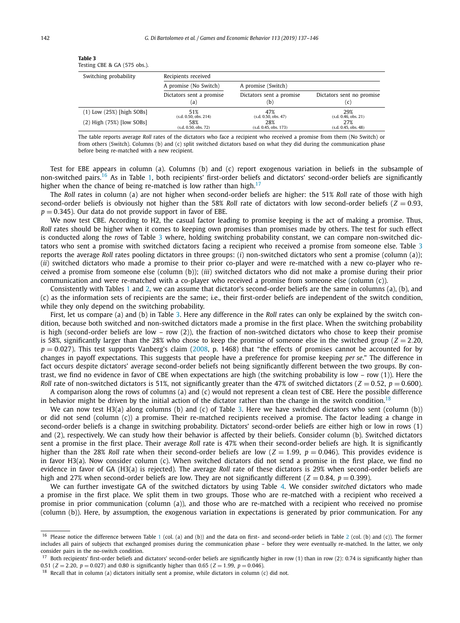| Testing CBE & GA (575 obs.).  |                          |                          |                           |  |  |  |
|-------------------------------|--------------------------|--------------------------|---------------------------|--|--|--|
| Switching probability         | Recipients received      |                          |                           |  |  |  |
|                               | A promise (No Switch)    | A promise (Switch)       |                           |  |  |  |
|                               | Dictators sent a promise | Dictators sent a promise | Dictators sent no promise |  |  |  |
|                               | (a)                      | (b)                      | (c)                       |  |  |  |
| $(1)$ Low $(25%)$ [high SOBs] | 51%                      | 47%                      | 29%                       |  |  |  |
|                               | (s.d. 0.50, obs. 214)    | (s.d. 0.50, obs. 47)     | (s.d. 0.46, obs. 21)      |  |  |  |
| $(2)$ High $(75%)$ [low SOBs] | 58%                      | 28%                      | 27%                       |  |  |  |
|                               | (s.d. 0.50, obs. 72)     | (s.d. 0.45, obs. 173)    | (s.d. 0.45, obs. 48)      |  |  |  |

<span id="page-5-0"></span>

| Table 3                      |  |  |
|------------------------------|--|--|
| Testing CBE & GA (575 obs.). |  |  |

The table reports average *Roll* rates of the dictators who face a recipient who received a promise from them (No Switch) or from others (Switch). Columns (b) and (c) split switched dictators based on what they did during the communication phase before being re-matched with a new recipient.

Test for EBE appears in column (a). Columns (b) and (c) report exogenous variation in beliefs in the subsample of non-switched pairs.<sup>16</sup> As in Table [1,](#page-4-0) both recipients' first-order beliefs and dictators' second-order beliefs are significantly higher when the chance of being re-matched is low rather than high.<sup>17</sup>

The *Roll* rates in column (a) are not higher when second-order beliefs are higher: the 51% *Roll* rate of those with high second-order beliefs is obviously not higher than the 58% *Roll* rate of dictators with low second-order beliefs ( $Z = 0.93$ ,  $p = 0.345$ ). Our data do not provide support in favor of EBE.

We now test CBE. According to H2, the casual factor leading to promise keeping is the act of making a promise. Thus, *Roll* rates should be higher when it comes to keeping own promises than promises made by others. The test for such effect is conducted along the *rows* of Table 3 where, holding switching probability constant, we can compare non-switched dictators who sent a promise with switched dictators facing a recipient who received a promise from someone else. Table 3 reports the average *Roll* rates pooling dictators in three groups: (*i*) non-switched dictators who sent a promise (column (a)); (*ii*) switched dictators who made a promise to their prior co-player and were re-matched with a new co-player who received a promise from someone else (column (b)); (*iii*) switched dictators who did not make a promise during their prior communication and were re-matched with a co-player who received a promise from someone else (column (c)).

Consistently with Tables [1](#page-4-0) and [2,](#page-4-0) we can assume that dictator's second-order beliefs are the same in columns (a), (b), and (c) as the information sets of recipients are the same; i.e., their first-order beliefs are independent of the switch condition, while they only depend on the switching probability.

First, let us compare (a) and (b) in Table 3. Here any difference in the *Roll* rates can only be explained by the switch condition, because both switched and non-switched dictators made a promise in the first place. When the switching probability is high (second-order beliefs are low – row (2)), the fraction of non-switched dictators who chose to keep their promise is 58%, significantly larger than the 28% who chose to keep the promise of someone else in the switched group ( $Z = 2.20$ ,  $p = 0.027$ ). This test supports Vanberg's claim [\(2008,](#page-9-0) p. 1468) that "the effects of promises cannot be accounted for by changes in payoff expectations. This suggests that people have a preference for promise keeping *per se*." The difference in fact occurs despite dictators' average second-order beliefs not being significantly different between the two groups. By contrast, we find no evidence in favor of CBE when expectations are high (the switching probability is low – row (1)). Here the *Roll* rate of non-switched dictators is 51%, not significantly greater than the 47% of switched dictators ( $Z = 0.52$ ,  $p = 0.600$ ).

A comparison along the rows of columns (a) and (c) would not represent a clean test of CBE. Here the possible difference in behavior might be driven by the initial action of the dictator rather than the change in the switch condition.<sup>18</sup>

We can now test H3(a) along columns (b) and (c) of Table 3. Here we have switched dictators who sent (column (b)) or did not send (column (c)) a promise. Their re-matched recipients received a promise. The factor leading a change in second-order beliefs is a change in switching probability. Dictators' second-order beliefs are either high or low in rows (1) and (2), respectively. We can study how their behavior is affected by their beliefs. Consider column (b). Switched dictators sent a promise in the first place. Their average *Roll* rate is 47% when their second-order beliefs are high. It is significantly higher than the 28% *Roll* rate when their second-order beliefs are low ( $Z = 1.99$ ,  $p = 0.046$ ). This provides evidence is in favor H3(a). Now consider column (c). When switched dictators did not send a promise in the first place, we find no evidence in favor of GA (H3(a) is rejected). The average *Roll* rate of these dictators is 29% when second-order beliefs are high and 27% when second-order beliefs are low. They are not significantly different ( $Z = 0.84$ ,  $p = 0.399$ ).

We can further investigate GA of the switched dictators by using Table [4.](#page-6-0) We consider *switched* dictators who made a promise in the first place. We split them in two groups. Those who are re-matched with a recipient who received a promise in prior communication (column (a)), and those who are re-matched with a recipient who received no promise (column (b)). Here, by assumption, the exogenous variation in expectations is generated by prior communication. For any

<sup>&</sup>lt;sup>[1](#page-4-0)6</sup> Please notice the difference between Table 1 (col. (a) and (b)) and the data on first- and second-order beliefs in Table [2](#page-4-0) (col. (b) and (c)). The former includes all pairs of subjects that exchanged promises during the communication phase – before they were eventually re-matched. In the latter, we only consider pairs in the no-switch condition.

<sup>&</sup>lt;sup>17</sup> Both recipients' first-order beliefs and dictators' second-order beliefs are significantly higher in row (1) than in row (2): 0.74 is significantly higher than 0.51 ( $Z = 2.20$ ,  $p = 0.027$ ) and 0.80 is significantly higher than 0.65 ( $Z = 1.99$ ,  $p = 0.046$ ).

 $18$  Recall that in column (a) dictators initially sent a promise, while dictators in column (c) did not.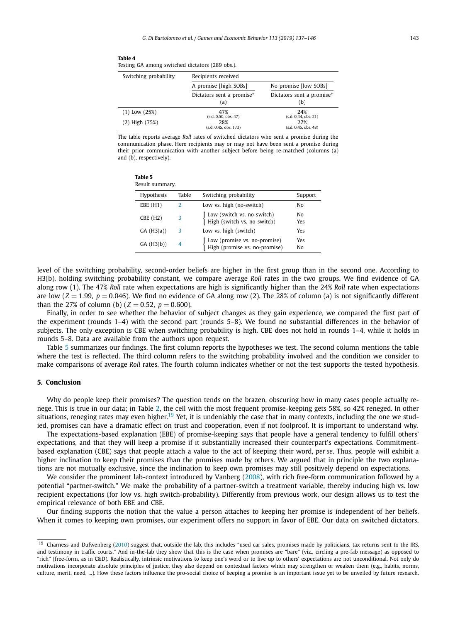<span id="page-6-0"></span>

| Table 4                                         |  |
|-------------------------------------------------|--|
| Testing GA among switched dictators (289 obs.). |  |

| Switching probability | Recipients received              |                                                           |  |  |
|-----------------------|----------------------------------|-----------------------------------------------------------|--|--|
|                       | A promise [high SOBs]            | No promise [low SOBs]<br>Dictators sent a promise*<br>(b) |  |  |
|                       | Dictators sent a promise*<br>(a) |                                                           |  |  |
| $(1)$ Low $(25%)$     | 47%<br>(s.d. 0.50, obs. 47)      | 24%<br>(s.d. 0.44, obs. 21)                               |  |  |
| $(2)$ High $(75%)$    | 28%<br>(s.d. 0.45, obs. 173)     | 27%<br>(s.d. 0.45, obs. 48)                               |  |  |

The table reports average *Roll* rates of switched dictators who sent a promise during the communication phase. Here recipients may or may not have been sent a promise during their prior communication with another subject before being re-matched (columns (a) and (b), respectively).

| Table 5        |
|----------------|
| Result summary |

| <b>Hypothesis</b> | Table         | Switching probability                                           | Support   |
|-------------------|---------------|-----------------------------------------------------------------|-----------|
| EBE(H1)           | $\mathcal{P}$ | Low vs. high (no-switch)                                        | No        |
| $CBE$ (H2)        | 3             | Low (switch vs. no-switch)<br>High (switch vs. no-switch)       | No<br>Yes |
| GA(H3(a))         | 3             | Low vs. high (switch)                                           | Yes       |
| GA(H3(b))         | 4             | Low (promise vs. no-promise)<br>  High (promise vs. no-promise) | Yes<br>No |

level of the switching probability, second-order beliefs are higher in the first group than in the second one. According to H3(b), holding switching probability constant, we compare average *Roll* rates in the two groups. We find evidence of GA along row (1). The 47% *Roll* rate when expectations are high is significantly higher than the 24% *Roll* rate when expectations are low  $(Z = 1.99, p = 0.046)$ . We find no evidence of GA along row (2). The 28% of column (a) is not significantly different than the 27% of column (b)  $(Z = 0.52, p = 0.600)$ .

Finally, in order to see whether the behavior of subject changes as they gain experience, we compared the first part of the experiment (rounds 1–4) with the second part (rounds 5–8). We found no substantial differences in the behavior of subjects. The only exception is CBE when switching probability is high. CBE does not hold in rounds 1–4, while it holds in rounds 5–8. Data are available from the authors upon request.

Table 5 summarizes our findings. The first column reports the hypotheses we test. The second column mentions the table where the test is reflected. The third column refers to the switching probability involved and the condition we consider to make comparisons of average *Roll* rates. The fourth column indicates whether or not the test supports the tested hypothesis.

#### **5. Conclusion**

Why do people keep their promises? The question tends on the brazen, obscuring how in many cases people actually renege. This is true in our data; in Table [2,](#page-4-0) the cell with the most frequent promise-keeping gets 58%, so 42% reneged. In other situations, reneging rates may even higher.<sup>19</sup> Yet, it is undeniably the case that in many contexts, including the one we studied, promises can have a dramatic effect on trust and cooperation, even if not foolproof. It is important to understand why.

The expectations-based explanation (EBE) of promise-keeping says that people have a general tendency to fulfill others' expectations, and that they will keep a promise if it substantially increased their counterpart's expectations. Commitmentbased explanation (CBE) says that people attach a value to the act of keeping their word, *per se*. Thus, people will exhibit a higher inclination to keep their promises than the promises made by others. We argued that in principle the two explanations are not mutually exclusive, since the inclination to keep own promises may still positively depend on expectations.

We consider the prominent lab-context introduced by Vanberg [\(2008\)](#page-9-0), with rich free-form communication followed by a potential "partner-switch." We make the probability of a partner-switch a treatment variable, thereby inducing high vs. low recipient expectations (for low vs. high switch-probability). Differently from previous work, our design allows us to test the empirical relevance of both EBE and CBE.

Our finding supports the notion that the value a person attaches to keeping her promise is independent of her beliefs. When it comes to keeping own promises, our experiment offers no support in favor of EBE. Our data on switched dictators,

<sup>&</sup>lt;sup>19</sup> Charness and Dufwenberg [\(2010\)](#page-9-0) suggest that, outside the lab, this includes "used car sales, promises made by politicians, tax returns sent to the IRS, and testimony in traffic courts." And in-the-lab they show that this is the case when promises are "bare" (viz., circling a pre-fab message) as opposed to "rich" (free-form, as in C&D). Realistically, intrinsic motivations to keep one's word or to live up to others' expectations are not unconditional. Not only do motivations incorporate absolute principles of justice, they also depend on contextual factors which may strengthen or weaken them (e.g., habits, norms, culture, merit, need, ...). How these factors influence the pro-social choice of keeping a promise is an important issue yet to be unveiled by future research.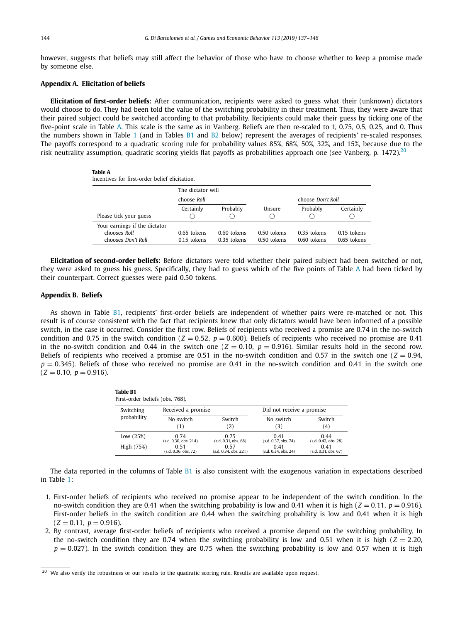<span id="page-7-0"></span>however, suggests that beliefs may still affect the behavior of those who have to choose whether to keep a promise made by someone else.

#### **Appendix A. Elicitation of beliefs**

**Elicitation of first-order beliefs:** After communication, recipients were asked to guess what their (unknown) dictators would choose to do. They had been told the value of the switching probability in their treatment. Thus, they were aware that their paired subject could be switched according to that probability. Recipients could make their guess by ticking one of the five-point scale in Table A. This scale is the same as in Vanberg. Beliefs are then re-scaled to 1, 0.75, 0.5, 0.25, and 0. Thus the numbers shown in Table [1](#page-4-0) (and in Tables B1 and [B2](#page-8-0) below) represent the averages of recipients' re-scaled responses. The payoffs correspond to a quadratic scoring rule for probability values 85%, 68%, 50%, 32%, and 15%, because due to the risk neutrality assumption, quadratic scoring yields flat payoffs as probabilities approach one (see Vanberg, p.  $1472$ ).<sup>20</sup>

#### **Table A**

Incentives for first-order belief elicitation.

|                                                                     | The dictator will              |                            |                            |                              |                            |
|---------------------------------------------------------------------|--------------------------------|----------------------------|----------------------------|------------------------------|----------------------------|
|                                                                     | choose Roll                    |                            | choose Don't Roll          |                              |                            |
| Please tick your guess                                              | Certainly                      | Probably                   | Unsure                     | Probably                     | Certainly                  |
| Your earnings if the dictator<br>chooses Roll<br>chooses Don't Roll | $0.65$ tokens<br>$0.15$ tokens | 0.60 tokens<br>0.35 tokens | 0.50 tokens<br>0.50 tokens | $0.35$ tokens<br>0.60 tokens | 0.15 tokens<br>0.65 tokens |

**Elicitation of second-order beliefs:** Before dictators were told whether their paired subject had been switched or not, they were asked to guess his guess. Specifically, they had to guess which of the five points of Table A had been ticked by their counterpart. Correct guesses were paid 0.50 tokens.

#### **Appendix B. Beliefs**

As shown in Table B1, recipients' first-order beliefs are independent of whether pairs were re-matched or not. This result is of course consistent with the fact that recipients knew that only dictators would have been informed of a possible switch, in the case it occurred. Consider the first row. Beliefs of recipients who received a promise are 0.74 in the no-switch condition and 0.75 in the switch condition ( $Z = 0.52$ ,  $p = 0.600$ ). Beliefs of recipients who received no promise are 0.41 in the no-switch condition and 0.44 in the switch one  $(Z = 0.10, p = 0.916)$ . Similar results hold in the second row. Beliefs of recipients who received a promise are 0.51 in the no-switch condition and 0.57 in the switch one ( $Z = 0.94$ ,  $p = 0.345$ ). Beliefs of those who received no promise are 0.41 in the no-switch condition and 0.41 in the switch one  $(Z = 0.10, p = 0.916)$ .

| <b>Table B1</b><br>First-order beliefs (obs. 768). |                          |                       |                           |                      |  |  |  |
|----------------------------------------------------|--------------------------|-----------------------|---------------------------|----------------------|--|--|--|
| Switching                                          | Received a promise       |                       | Did not receive a promise |                      |  |  |  |
| probability                                        | No switch                | Switch                | No switch                 | Switch               |  |  |  |
|                                                    | (1)                      | 2)                    | (3)                       | (4)                  |  |  |  |
| Low $(25%)$                                        | 0.74                     | 0.75                  | 0.41                      | 0.44                 |  |  |  |
|                                                    | (s.d. 0.30, obs. 214)    | (s.d. 0.31, obs. 68)  | (s.d. 0.37, obs. 74)      | (s.d. 0.42, obs. 28) |  |  |  |
| High (75%)                                         | 0.51                     | 0.57                  | 0.41                      | 0.41                 |  |  |  |
|                                                    | $(s.d. 0.36.$ obs. $72)$ | (s.d. 0.34. obs. 221) | (s.d. 0.34, obs. 24)      | (s.d. 0.31, obs. 67) |  |  |  |

The data reported in the columns of Table  $B1$  is also consistent with the exogenous variation in expectations described in Table [1:](#page-4-0)

- 1. First-order beliefs of recipients who received no promise appear to be independent of the switch condition. In the no-switch condition they are 0.41 when the switching probability is low and 0.41 when it is high ( $Z = 0.11$ ,  $p = 0.916$ ). First-order beliefs in the switch condition are 0.44 when the switching probability is low and 0.41 when it is high  $(Z = 0.11, p = 0.916)$ .
- 2. By contrast, average first-order beliefs of recipients who received a promise depend on the switching probability. In the no-switch condition they are 0.74 when the switching probability is low and 0.51 when it is high ( $Z = 2.20$ ,  $p = 0.027$ ). In the switch condition they are 0.75 when the switching probability is low and 0.57 when it is high

<sup>&</sup>lt;sup>20</sup> We also verify the robustness or our results to the quadratic scoring rule. Results are available upon request.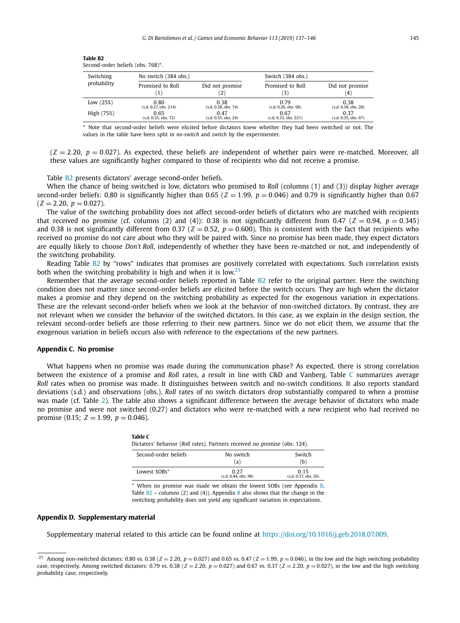| Switching<br>probability | No switch (384 obs.)  |                       | Switch (384 obs.)      |                                     |
|--------------------------|-----------------------|-----------------------|------------------------|-------------------------------------|
|                          | Promised to Roll      | Did not promise<br>2) | Promised to Roll<br>31 | Did not promise<br>$\left(4\right)$ |
| Low $(25%)$              | 0.80                  | 0.38                  | 0.79                   | 0.38                                |
|                          | (s.d. 0.27, obs. 214) | (s.d. 0.38, obs. 74)  | (s.d. 0.26, obs. 68)   | (s.d. 0.38, obs. 28)                |
| High (75%)               | 0.65                  | 0.47                  | 0.67                   | 0.37                                |
|                          | (s.d. 0.35, obs. 72)  | (s.d. 0.35. obs. 24)  | (s.d. 0.33, obs. 221)  | (s.d. 0.35, obs. 67)                |

<span id="page-8-0"></span>

| <b>Table B2</b>                   |  |
|-----------------------------------|--|
| Second-order beliefs (obs. 768)*. |  |

∗ Note that second-order beliefs were elicited before dictators knew whether they had been switched or not. The values in the table have been split in *no-switch* and *switch* by the experimenter.

 $(Z = 2.20, p = 0.027)$ . As expected, these beliefs are independent of whether pairs were re-matched. Moreover, all these values are significantly higher compared to those of recipients who did not receive a promise.

Table B2 presents dictators' average second-order beliefs.

When the chance of being switched is low, dictators who promised to *Roll* (columns (1) and (3)) display higher average second-order beliefs: 0.80 is significantly higher than 0.65 ( $Z = 1.99$ ,  $p = 0.046$ ) and 0.79 is significantly higher than 0.67  $(Z = 2.20, p = 0.027)$ .

The value of the switching probability does not affect second-order beliefs of dictators who are matched with recipients that received no promise (cf. columns (2) and (4)): 0.38 is not significantly different from 0.47 ( $Z = 0.94$ ,  $p = 0.345$ ) and 0.38 is not significantly different from 0.37 ( $Z = 0.52$ ,  $p = 0.600$ ). This is consistent with the fact that recipients who received no promise do not care about who they will be paired with. Since no promise has been made, they expect dictators are equally likely to choose *Don't Roll*, independently of whether they have been re-matched or not, and independently of the switching probability.

Reading Table B2 by "rows" indicates that promises are positively correlated with expectations. Such correlation exists both when the switching probability is high and when it is low.<sup>21</sup>

Remember that the average second-order beliefs reported in Table B2 refer to the original partner. Here the switching condition does not matter since second-order beliefs are elicited before the switch occurs. They are high when the dictator makes a promise and they depend on the switching probability as expected for the exogenous variation in expectations. These are the relevant second-order beliefs when we look at the behavior of non-switched dictators. By contrast, they are not relevant when we consider the behavior of the switched dictators. In this case, as we explain in the design section, the relevant second-order beliefs are those referring to their new partners. Since we do not elicit them, we assume that the exogenous variation in beliefs occurs also with reference to the expectations of the new partners.

#### **Appendix C. No promise**

What happens when no promise was made during the communication phase? As expected, there is strong correlation between the existence of a promise and *Roll* rates, a result in line with C&D and Vanberg. Table C summarizes average *Roll* rates when no promise was made. It distinguishes between switch and no-switch conditions. It also reports standard deviations (s.d.) and observations (obs.). *Roll* rates of no switch dictators drop substantially compared to when a promise was made (cf. Table [2\)](#page-4-0). The table also shows a significant difference between the average behavior of dictators who made no promise and were not switched (0.27) and dictators who were re-matched with a new recipient who had received no promise (0.15;  $Z = 1.99$ ,  $p = 0.046$ ).

| Table C<br>Dictators' behavior (Roll rates). Partners received no promise (obs. 124). |                                |                              |  |  |  |  |
|---------------------------------------------------------------------------------------|--------------------------------|------------------------------|--|--|--|--|
| Second-order beliefs                                                                  | No switch<br>(a)               | Switch<br>(b)                |  |  |  |  |
| Lowest SOBs*                                                                          | 0.27<br>$(s.d. 0.44.$ obs. 98) | 0.15<br>(s.d. 0.37, obs. 26) |  |  |  |  |

∗ When no promise was made we obtain the lowest SOBs (see Appendix [B,](#page-7-0) Table  $B2$  $B2$  – columns (2) and (4)). Appendix B also shows that the change in the switching probability does not yield any significant variation in expectations.

#### **Appendix D. Supplementary material**

Supplementary material related to this article can be found online at [https://doi.org/10.1016/j.geb.2018.07.009.](https://doi.org/10.1016/j.geb.2018.07.009)

<sup>&</sup>lt;sup>21</sup> Among non-switched dictators: 0.80 vs. 0.38 ( $Z = 2.20$ ,  $p = 0.027$ ) and 0.65 vs. 0.47 ( $Z = 1.99$ ,  $p = 0.046$ ), in the low and the high switching probability case, respectively. Among switched dictators: 0.79 vs. 0.38 (*Z* = 2*.*20, *p* = 0*.*027) and 0.67 vs. 0.37 (*Z* = 2*.*20, *p* = 0*.*027), in the low and the high switching probability case, respectively.